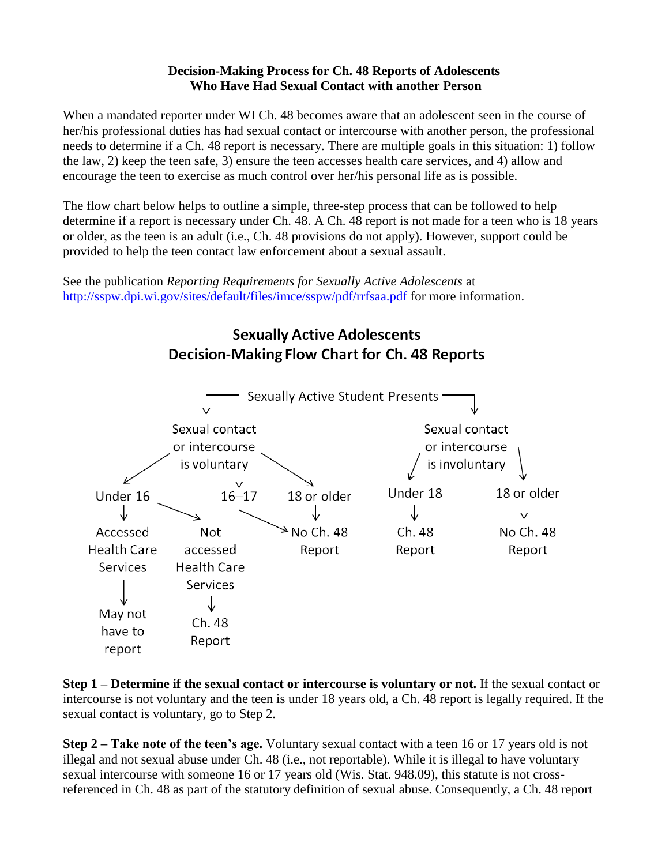## **Decision-Making Process for Ch. 48 Reports of Adolescents Who Have Had Sexual Contact with another Person**

When a mandated reporter under WI Ch. 48 becomes aware that an adolescent seen in the course of her/his professional duties has had sexual contact or intercourse with another person, the professional needs to determine if a Ch. 48 report is necessary. There are multiple goals in this situation: 1) follow the law, 2) keep the teen safe, 3) ensure the teen accesses health care services, and 4) allow and encourage the teen to exercise as much control over her/his personal life as is possible.

The flow chart below helps to outline a simple, three-step process that can be followed to help determine if a report is necessary under Ch. 48. A Ch. 48 report is not made for a teen who is 18 years or older, as the teen is an adult (i.e., Ch. 48 provisions do not apply). However, support could be provided to help the teen contact law enforcement about a sexual assault.

See the publication *Reporting Requirements for Sexually Active Adolescents* at <http://sspw.dpi.wi.gov/sites/default/files/imce/sspw/pdf/rrfsaa.pdf> for more information.

## **Sexually Active Adolescents Decision-Making Flow Chart for Ch. 48 Reports**



**Step 1 – Determine if the sexual contact or intercourse is voluntary or not.** If the sexual contact or intercourse is not voluntary and the teen is under 18 years old, a Ch. 48 report is legally required. If the sexual contact is voluntary, go to Step 2.

**Step 2 – Take note of the teen's age.** Voluntary sexual contact with a teen 16 or 17 years old is not illegal and not sexual abuse under Ch. 48 (i.e., not reportable). While it is illegal to have voluntary sexual intercourse with someone 16 or 17 years old (Wis. Stat. 948.09), this statute is not crossreferenced in Ch. 48 as part of the statutory definition of sexual abuse. Consequently, a Ch. 48 report